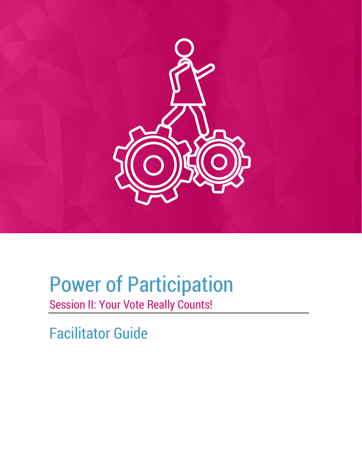

# Power of Participation Session II: Your Vote Really Counts!

Facilitator Guide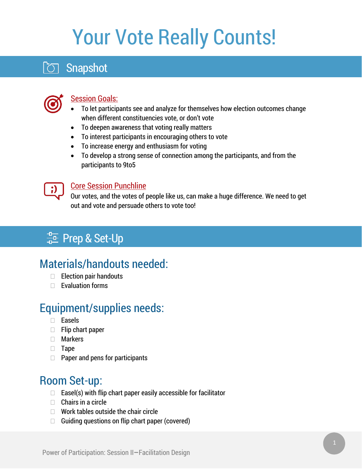# Your Vote Really Counts!

# **Snapshot**



#### **Session Goals:**

- To let participants see and analyze for themselves how election outcomes change when different constituencies vote, or don't vote
- To deepen awareness that voting really matters
- To interest participants in encouraging others to vote
- To increase energy and enthusiasm for voting
- To develop a strong sense of connection among the participants, and from the participants to 9to5



#### Core Session Punchline

Our votes, and the votes of people like us, can make a huge difference. We need to get out and vote and persuade others to vote too!

# $\frac{4}{10}$  Prep & Set-Up

# Materials/handouts needed:

- $\Box$  Election pair handouts
- $\Box$  Evaluation forms

# Equipment/supplies needs:

- Easels
- $\Box$  Flip chart paper
- Markers
- □ Tape
- $\Box$  Paper and pens for participants

### Room Set-up:

- $\Box$  Easel(s) with flip chart paper easily accessible for facilitator
- $\Box$  Chairs in a circle
- $\Box$  Work tables outside the chair circle
- $\Box$  Guiding questions on flip chart paper (covered)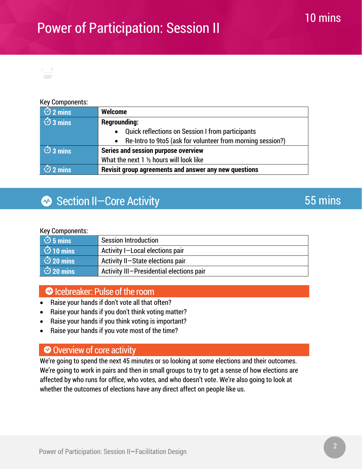

#### Key Components:

| $\overline{O}$ 2 mins     | <b>Welcome</b>                                               |
|---------------------------|--------------------------------------------------------------|
| $\overline{3}$ mins       | <b>Regrounding:</b>                                          |
|                           | • Quick reflections on Session I from participants           |
|                           | • Re-Intro to 9to5 (ask for volunteer from morning session?) |
| $\overline{\circ}$ 3 mins | <b>Series and session purpose overview</b>                   |
|                           | What the next 1 1/2 hours will look like                     |
| $\frac{1}{2}$ 2 mins      | Revisit group agreements and answer any new questions        |

### Section II-Core Activity

#### Key Components:

| $\circ$ 5 mins  | <b>Session Introduction</b>              |
|-----------------|------------------------------------------|
| $\circ$ 10 mins | Activity I-Local elections pair          |
| $\circ$ 20 mins | Activity II-State elections pair         |
| $\circ$ 20 mins | Activity III-Presidential elections pair |

#### Icebreaker: Pulse of the room

- Raise your hands if don't vote all that often?
- Raise your hands if you don't think voting matter?
- Raise your hands if you think voting is important?
- Raise your hands if you vote most of the time?

#### Overview of core activity

We're going to spend the next 45 minutes or so looking at some elections and their outcomes. We're going to work in pairs and then in small groups to try to get a sense of how elections are affected by who runs for office, who votes, and who doesn't vote. We're also going to look at whether the outcomes of elections have any direct affect on people like us.

### 55 mins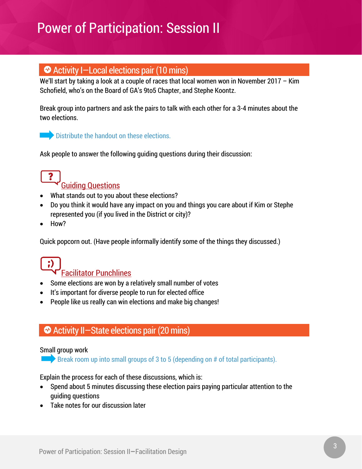#### Activity I—Local elections pair (10 mins)

We'll start by taking a look at a couple of races that local women won in November 2017 - Kim Schofield, who's on the Board of GA's 9to5 Chapter, and Stephe Koontz.

Break group into partners and ask the pairs to talk with each other for a 3-4 minutes about the two elections.

#### Distribute the handout on these elections.

Ask people to answer the following guiding questions during their discussion:



- What stands out to you about these elections?
- Do you think it would have any impact on you and things you care about if Kim or Stephe represented you (if you lived in the District or city)?
- How?

Quick popcorn out. (Have people informally identify some of the things they discussed.)

# Facilitator Punchlines

- Some elections are won by a relatively small number of votes
- It's important for diverse people to run for elected office
- People like us really can win elections and make big changes!

#### Activity II—State elections pair (20 mins)

#### Small group work

**Break room up into small groups of 3 to 5 (depending on**  $#$  **of total participants).** 

Explain the process for each of these discussions, which is:

- Spend about 5 minutes discussing these election pairs paying particular attention to the guiding questions
- Take notes for our discussion later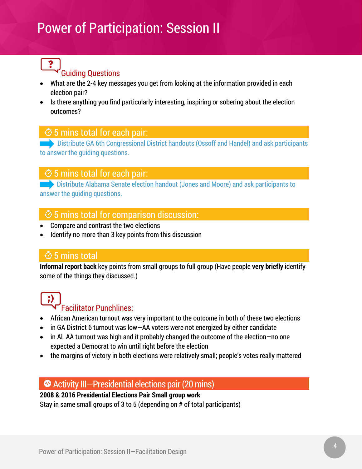#### Guiding Questions

- What are the 2-4 key messages you get from looking at the information provided in each election pair?
- Is there anything you find particularly interesting, inspiring or sobering about the election outcomes?

#### $\ddot{\circ}$  5 mins total for each pair:

Distribute GA 6th Congressional District handouts (Ossoff and Handel) and ask participants to answer the guiding questions.

#### $\dot{\circ}$  5 mins total for each pair:

**Distribute Alabama Senate election handout (Jones and Moore) and ask participants to** answer the guiding questions.

#### $\ddot{\circ}$  5 mins total for comparison discussion:

- Compare and contrast the two elections
- Identify no more than 3 key points from this discussion

#### 5 mins total

**Informal report back** key points from small groups to full group (Have people **very briefly** identify some of the things they discussed.)

#### Facilitator Punchlines:

- African American turnout was very important to the outcome in both of these two elections
- in GA District 6 turnout was low—AA voters were not energized by either candidate
- in AL AA turnout was high and it probably changed the outcome of the election-no one expected a Democrat to win until right before the election
- the margins of victory in both elections were relatively small; people's votes really mattered

#### Activity III—Presidential elections pair (20 mins)

#### **2008 & 2016 Presidential Elections Pair Small group work**

Stay in same small groups of 3 to 5 (depending on # of total participants)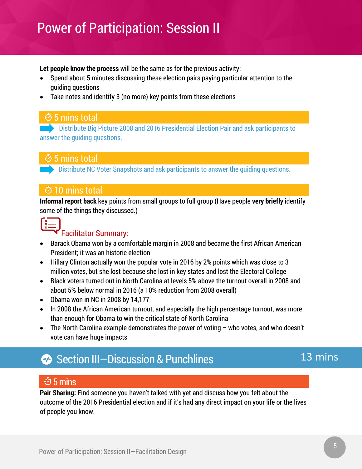**Let people know the process** will be the same as for the previous activity:

- Spend about 5 minutes discussing these election pairs paying particular attention to the guiding questions
- Take notes and identify 3 (no more) key points from these elections

#### 5 mins total

**EXECUTE: Distribute Big Picture 2008 and 2016 Presidential Election Pair and ask participants to** answer the guiding questions.

#### 5 mins total

**Distribute NC Voter Snapshots and ask participants to answer the quiding questions.** 

#### 10 mins total

**Informal report back** key points from small groups to full group (Have people **very briefly** identify some of the things they discussed.)



#### Facilitator Summary:

- Barack Obama won by a comfortable margin in 2008 and became the first African American President; it was an historic election
- Hillary Clinton actually won the popular vote in 2016 by 2% points which was close to 3 million votes, but she lost because she lost in key states and lost the Electoral College
- Black voters turned out in North Carolina at levels 5% above the turnout overall in 2008 and about 5% below normal in 2016 (a 10% reduction from 2008 overall)
- Obama won in NC in 2008 by 14,177
- In 2008 the African American turnout, and especially the high percentage turnout, was more than enough for Obama to win the critical state of North Carolina
- The North Carolina example demonstrates the power of voting who votes, and who doesn't vote can have huge impacts

# Section III-Discussion & Punchlines

### 13 mins

#### $\dot{\circ}$  5 mins

**Pair Sharing:** Find someone you haven't talked with yet and discuss how you felt about the outcome of the 2016 Presidential election and if it's had any direct impact on your life or the lives of people you know.